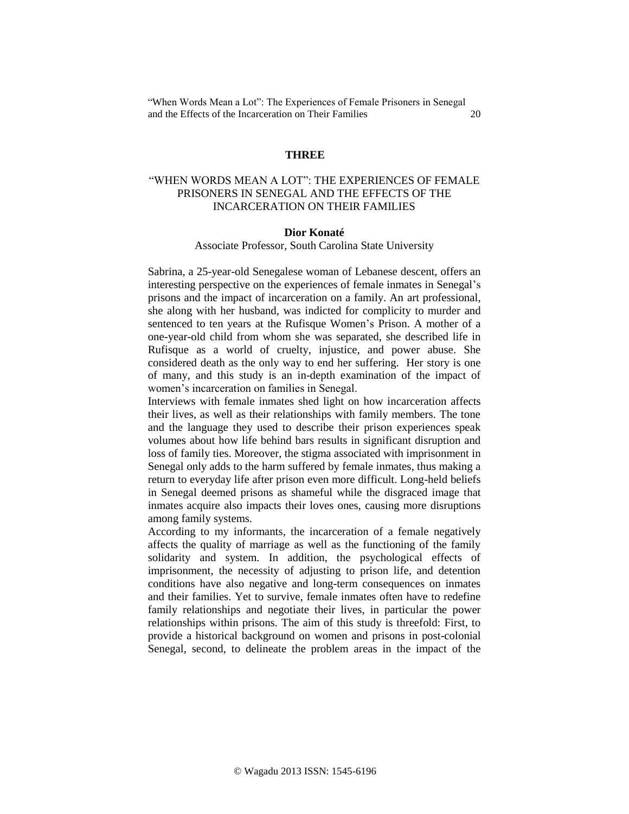## **THREE**

# "WHEN WORDS MEAN A LOT": THE EXPERIENCES OF FEMALE PRISONERS IN SENEGAL AND THE EFFECTS OF THE INCARCERATION ON THEIR FAMILIES

### **Dior Konaté**

### Associate Professor, South Carolina State University

Sabrina, a 25-year-old Senegalese woman of Lebanese descent, offers an interesting perspective on the experiences of female inmates in Senegal's prisons and the impact of incarceration on a family. An art professional, she along with her husband, was indicted for complicity to murder and sentenced to ten years at the Rufisque Women's Prison. A mother of a one-year-old child from whom she was separated, she described life in Rufisque as a world of cruelty, injustice, and power abuse. She considered death as the only way to end her suffering. Her story is one of many, and this study is an in-depth examination of the impact of women's incarceration on families in Senegal.

Interviews with female inmates shed light on how incarceration affects their lives, as well as their relationships with family members. The tone and the language they used to describe their prison experiences speak volumes about how life behind bars results in significant disruption and loss of family ties. Moreover, the stigma associated with imprisonment in Senegal only adds to the harm suffered by female inmates, thus making a return to everyday life after prison even more difficult. Long-held beliefs in Senegal deemed prisons as shameful while the disgraced image that inmates acquire also impacts their loves ones, causing more disruptions among family systems.

According to my informants, the incarceration of a female negatively affects the quality of marriage as well as the functioning of the family solidarity and system. In addition, the psychological effects of imprisonment, the necessity of adjusting to prison life, and detention conditions have also negative and long-term consequences on inmates and their families. Yet to survive, female inmates often have to redefine family relationships and negotiate their lives, in particular the power relationships within prisons. The aim of this study is threefold: First, to provide a historical background on women and prisons in post-colonial Senegal, second, to delineate the problem areas in the impact of the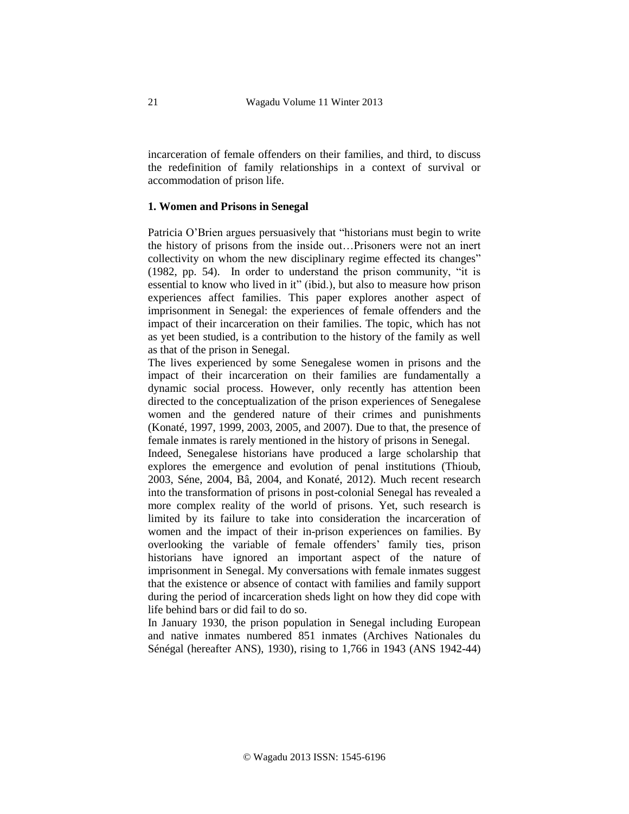incarceration of female offenders on their families, and third, to discuss the redefinition of family relationships in a context of survival or accommodation of prison life.

## **1. Women and Prisons in Senegal**

Patricia O'Brien argues persuasively that "historians must begin to write the history of prisons from the inside out…Prisoners were not an inert collectivity on whom the new disciplinary regime effected its changes" (1982, pp. 54). In order to understand the prison community, "it is essential to know who lived in it" (ibid.), but also to measure how prison experiences affect families. This paper explores another aspect of imprisonment in Senegal: the experiences of female offenders and the impact of their incarceration on their families. The topic, which has not as yet been studied, is a contribution to the history of the family as well as that of the prison in Senegal.

The lives experienced by some Senegalese women in prisons and the impact of their incarceration on their families are fundamentally a dynamic social process. However, only recently has attention been directed to the conceptualization of the prison experiences of Senegalese women and the gendered nature of their crimes and punishments (Konaté, 1997, 1999, 2003, 2005, and 2007). Due to that, the presence of female inmates is rarely mentioned in the history of prisons in Senegal.

Indeed, Senegalese historians have produced a large scholarship that explores the emergence and evolution of penal institutions (Thioub, 2003, Séne, 2004, Bâ, 2004, and Konaté, 2012). Much recent research into the transformation of prisons in post-colonial Senegal has revealed a more complex reality of the world of prisons. Yet, such research is limited by its failure to take into consideration the incarceration of women and the impact of their in-prison experiences on families. By overlooking the variable of female offenders' family ties, prison historians have ignored an important aspect of the nature of imprisonment in Senegal. My conversations with female inmates suggest that the existence or absence of contact with families and family support during the period of incarceration sheds light on how they did cope with life behind bars or did fail to do so.

In January 1930, the prison population in Senegal including European and native inmates numbered 851 inmates (Archives Nationales du Sénégal (hereafter ANS), 1930), rising to 1,766 in 1943 (ANS 1942-44)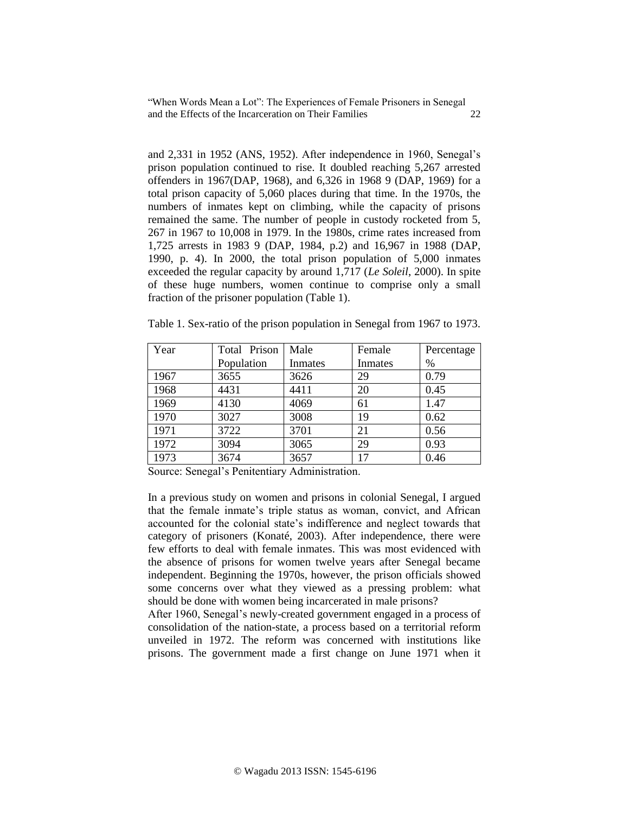and 2,331 in 1952 (ANS, 1952). After independence in 1960, Senegal's prison population continued to rise. It doubled reaching 5,267 arrested offenders in 1967(DAP, 1968), and 6,326 in 1968 9 (DAP, 1969) for a total prison capacity of 5,060 places during that time. In the 1970s, the numbers of inmates kept on climbing, while the capacity of prisons remained the same. The number of people in custody rocketed from 5, 267 in 1967 to 10,008 in 1979. In the 1980s, crime rates increased from 1,725 arrests in 1983 9 (DAP, 1984, p.2) and 16,967 in 1988 (DAP, 1990, p. 4). In 2000, the total prison population of 5,000 inmates exceeded the regular capacity by around 1,717 (*Le Soleil*, 2000). In spite of these huge numbers, women continue to comprise only a small fraction of the prisoner population (Table 1).

| Year | Total Prison | Male    | Female  | Percentage |
|------|--------------|---------|---------|------------|
|      | Population   | Inmates | Inmates | $\%$       |
| 1967 | 3655         | 3626    | 29      | 0.79       |
| 1968 | 4431         | 4411    | 20      | 0.45       |
| 1969 | 4130         | 4069    | 61      | 1.47       |
| 1970 | 3027         | 3008    | 19      | 0.62       |
| 1971 | 3722         | 3701    | 21      | 0.56       |
| 1972 | 3094         | 3065    | 29      | 0.93       |
| 1973 | 3674         | 3657    | 17      | 0.46       |

Table 1. Sex-ratio of the prison population in Senegal from 1967 to 1973.

Source: Senegal's Penitentiary Administration.

In a previous study on women and prisons in colonial Senegal, I argued that the female inmate's triple status as woman, convict, and African accounted for the colonial state's indifference and neglect towards that category of prisoners (Konaté, 2003). After independence, there were few efforts to deal with female inmates. This was most evidenced with the absence of prisons for women twelve years after Senegal became independent. Beginning the 1970s, however, the prison officials showed some concerns over what they viewed as a pressing problem: what should be done with women being incarcerated in male prisons?

After 1960, Senegal's newly-created government engaged in a process of consolidation of the nation-state, a process based on a territorial reform unveiled in 1972. The reform was concerned with institutions like prisons. The government made a first change on June 1971 when it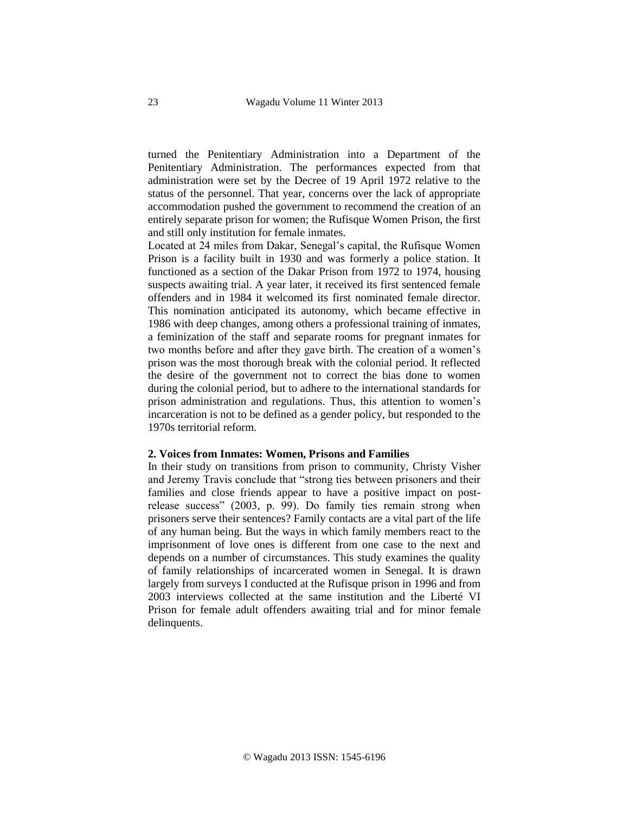turned the Penitentiary Administration into a Department of the Penitentiary Administration. The performances expected from that administration were set by the Decree of 19 April 1972 relative to the status of the personnel. That year, concerns over the lack of appropriate accommodation pushed the government to recommend the creation of an entirely separate prison for women; the Rufisque Women Prison, the first and still only institution for female inmates.

Located at 24 miles from Dakar, Senegal's capital, the Rufisque Women Prison is a facility built in 1930 and was formerly a police station. It functioned as a section of the Dakar Prison from 1972 to 1974, housing suspects awaiting trial. A year later, it received its first sentenced female offenders and in 1984 it welcomed its first nominated female director. This nomination anticipated its autonomy, which became effective in 1986 with deep changes, among others a professional training of inmates, a feminization of the staff and separate rooms for pregnant inmates for two months before and after they gave birth. The creation of a women's prison was the most thorough break with the colonial period. It reflected the desire of the government not to correct the bias done to women during the colonial period, but to adhere to the international standards for prison administration and regulations. Thus, this attention to women's incarceration is not to be defined as a gender policy, but responded to the 1970s territorial reform.

## **2. Voices from Inmates: Women, Prisons and Families**

In their study on transitions from prison to community, Christy Visher and Jeremy Travis conclude that "strong ties between prisoners and their families and close friends appear to have a positive impact on postrelease success" (2003, p. 99). Do family ties remain strong when prisoners serve their sentences? Family contacts are a vital part of the life of any human being. But the ways in which family members react to the imprisonment of love ones is different from one case to the next and depends on a number of circumstances. This study examines the quality of family relationships of incarcerated women in Senegal. It is drawn largely from surveys I conducted at the Rufisque prison in 1996 and from 2003 interviews collected at the same institution and the Liberté VI Prison for female adult offenders awaiting trial and for minor female delinquents.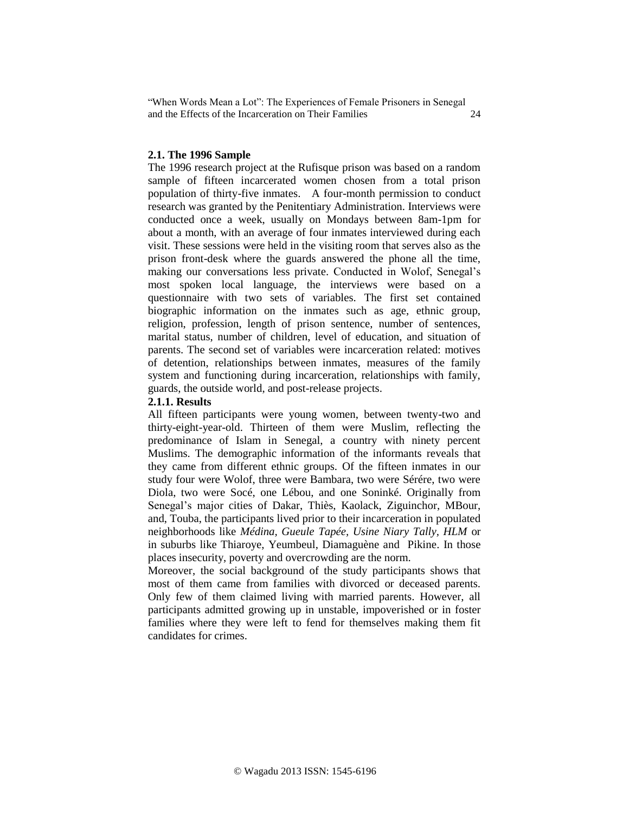## **2.1. The 1996 Sample**

The 1996 research project at the Rufisque prison was based on a random sample of fifteen incarcerated women chosen from a total prison population of thirty-five inmates. A four-month permission to conduct research was granted by the Penitentiary Administration. Interviews were conducted once a week, usually on Mondays between 8am-1pm for about a month, with an average of four inmates interviewed during each visit. These sessions were held in the visiting room that serves also as the prison front-desk where the guards answered the phone all the time, making our conversations less private. Conducted in Wolof, Senegal's most spoken local language, the interviews were based on a questionnaire with two sets of variables. The first set contained biographic information on the inmates such as age, ethnic group, religion, profession, length of prison sentence, number of sentences, marital status, number of children, level of education, and situation of parents. The second set of variables were incarceration related: motives of detention, relationships between inmates, measures of the family system and functioning during incarceration, relationships with family, guards, the outside world, and post-release projects.

## **2.1.1. Results**

All fifteen participants were young women, between twenty-two and thirty-eight-year-old. Thirteen of them were Muslim, reflecting the predominance of Islam in Senegal, a country with ninety percent Muslims. The demographic information of the informants reveals that they came from different ethnic groups. Of the fifteen inmates in our study four were Wolof, three were Bambara, two were Sérére, two were Diola, two were Socé, one Lébou, and one Soninké. Originally from Senegal's major cities of Dakar, Thiès, Kaolack, Ziguinchor, MBour, and, Touba, the participants lived prior to their incarceration in populated neighborhoods like *Médina, Gueule Tapée, Usine Niary Tally, HLM* or in suburbs like Thiaroye, Yeumbeul, Diamaguène and Pikine. In those places insecurity, poverty and overcrowding are the norm.

Moreover, the social background of the study participants shows that most of them came from families with divorced or deceased parents. Only few of them claimed living with married parents. However, all participants admitted growing up in unstable, impoverished or in foster families where they were left to fend for themselves making them fit candidates for crimes.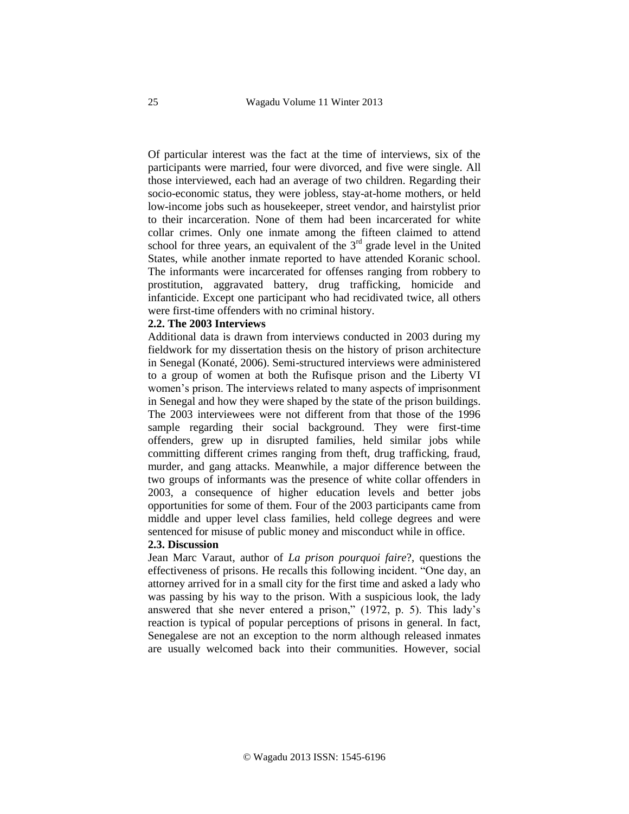Of particular interest was the fact at the time of interviews, six of the participants were married, four were divorced, and five were single. All those interviewed, each had an average of two children. Regarding their socio-economic status, they were jobless, stay-at-home mothers, or held low-income jobs such as housekeeper, street vendor, and hairstylist prior to their incarceration. None of them had been incarcerated for white collar crimes. Only one inmate among the fifteen claimed to attend school for three years, an equivalent of the  $3<sup>rd</sup>$  grade level in the United States, while another inmate reported to have attended Koranic school. The informants were incarcerated for offenses ranging from robbery to prostitution, aggravated battery, drug trafficking, homicide and infanticide. Except one participant who had recidivated twice, all others were first-time offenders with no criminal history.

#### **2.2. The 2003 Interviews**

Additional data is drawn from interviews conducted in 2003 during my fieldwork for my dissertation thesis on the history of prison architecture in Senegal (Konaté, 2006). Semi-structured interviews were administered to a group of women at both the Rufisque prison and the Liberty VI women's prison. The interviews related to many aspects of imprisonment in Senegal and how they were shaped by the state of the prison buildings. The 2003 interviewees were not different from that those of the 1996 sample regarding their social background. They were first-time offenders, grew up in disrupted families, held similar jobs while committing different crimes ranging from theft, drug trafficking, fraud, murder, and gang attacks. Meanwhile, a major difference between the two groups of informants was the presence of white collar offenders in 2003, a consequence of higher education levels and better jobs opportunities for some of them. Four of the 2003 participants came from middle and upper level class families, held college degrees and were sentenced for misuse of public money and misconduct while in office.

### **2.3. Discussion**

Jean Marc Varaut, author of *La prison pourquoi faire*?, questions the effectiveness of prisons. He recalls this following incident. "One day, an attorney arrived for in a small city for the first time and asked a lady who was passing by his way to the prison. With a suspicious look, the lady answered that she never entered a prison," (1972, p. 5). This lady's reaction is typical of popular perceptions of prisons in general. In fact, Senegalese are not an exception to the norm although released inmates are usually welcomed back into their communities. However, social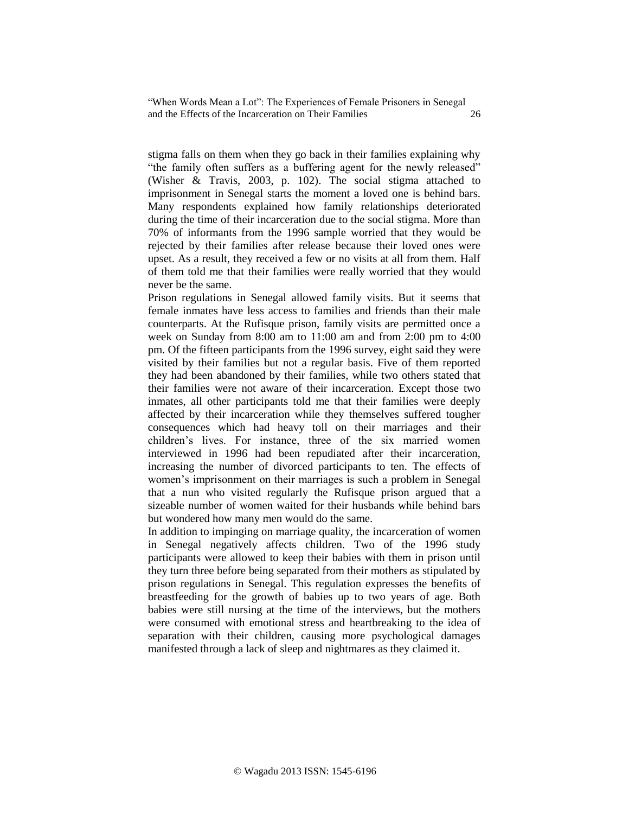stigma falls on them when they go back in their families explaining why "the family often suffers as a buffering agent for the newly released" (Wisher & Travis, 2003, p. 102). The social stigma attached to imprisonment in Senegal starts the moment a loved one is behind bars. Many respondents explained how family relationships deteriorated during the time of their incarceration due to the social stigma. More than 70% of informants from the 1996 sample worried that they would be rejected by their families after release because their loved ones were upset. As a result, they received a few or no visits at all from them. Half of them told me that their families were really worried that they would never be the same.

Prison regulations in Senegal allowed family visits. But it seems that female inmates have less access to families and friends than their male counterparts. At the Rufisque prison, family visits are permitted once a week on Sunday from 8:00 am to 11:00 am and from 2:00 pm to 4:00 pm. Of the fifteen participants from the 1996 survey, eight said they were visited by their families but not a regular basis. Five of them reported they had been abandoned by their families, while two others stated that their families were not aware of their incarceration. Except those two inmates, all other participants told me that their families were deeply affected by their incarceration while they themselves suffered tougher consequences which had heavy toll on their marriages and their children's lives. For instance, three of the six married women interviewed in 1996 had been repudiated after their incarceration, increasing the number of divorced participants to ten. The effects of women's imprisonment on their marriages is such a problem in Senegal that a nun who visited regularly the Rufisque prison argued that a sizeable number of women waited for their husbands while behind bars but wondered how many men would do the same.

In addition to impinging on marriage quality, the incarceration of women in Senegal negatively affects children. Two of the 1996 study participants were allowed to keep their babies with them in prison until they turn three before being separated from their mothers as stipulated by prison regulations in Senegal. This regulation expresses the benefits of breastfeeding for the growth of babies up to two years of age. Both babies were still nursing at the time of the interviews, but the mothers were consumed with emotional stress and heartbreaking to the idea of separation with their children, causing more psychological damages manifested through a lack of sleep and nightmares as they claimed it.

© Wagadu 2013 ISSN: 1545-6196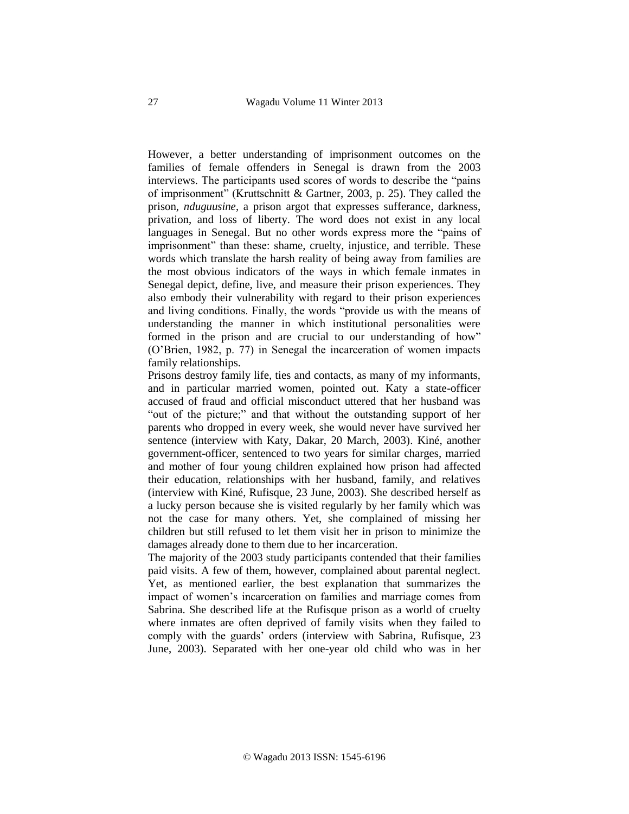However, a better understanding of imprisonment outcomes on the families of female offenders in Senegal is drawn from the 2003 interviews. The participants used scores of words to describe the "pains of imprisonment" (Kruttschnitt & Gartner, 2003, p. 25). They called the prison, *nduguusine*, a prison argot that expresses sufferance, darkness, privation, and loss of liberty. The word does not exist in any local languages in Senegal. But no other words express more the "pains of imprisonment" than these: shame, cruelty, injustice, and terrible. These words which translate the harsh reality of being away from families are the most obvious indicators of the ways in which female inmates in Senegal depict, define, live, and measure their prison experiences. They also embody their vulnerability with regard to their prison experiences and living conditions. Finally, the words "provide us with the means of understanding the manner in which institutional personalities were formed in the prison and are crucial to our understanding of how" (O'Brien, 1982, p. 77) in Senegal the incarceration of women impacts family relationships.

Prisons destroy family life, ties and contacts, as many of my informants, and in particular married women, pointed out. Katy a state-officer accused of fraud and official misconduct uttered that her husband was "out of the picture;" and that without the outstanding support of her parents who dropped in every week, she would never have survived her sentence (interview with Katy, Dakar, 20 March, 2003). Kiné, another government-officer, sentenced to two years for similar charges, married and mother of four young children explained how prison had affected their education, relationships with her husband, family, and relatives (interview with Kiné, Rufisque, 23 June, 2003). She described herself as a lucky person because she is visited regularly by her family which was not the case for many others. Yet, she complained of missing her children but still refused to let them visit her in prison to minimize the damages already done to them due to her incarceration.

The majority of the 2003 study participants contended that their families paid visits. A few of them, however, complained about parental neglect. Yet, as mentioned earlier, the best explanation that summarizes the impact of women's incarceration on families and marriage comes from Sabrina. She described life at the Rufisque prison as a world of cruelty where inmates are often deprived of family visits when they failed to comply with the guards' orders (interview with Sabrina, Rufisque, 23 June, 2003). Separated with her one-year old child who was in her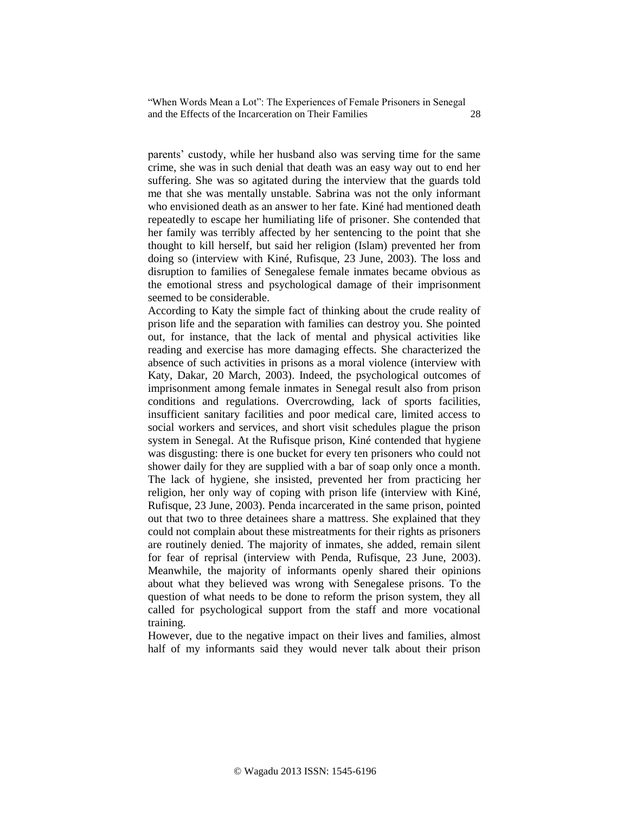parents' custody, while her husband also was serving time for the same crime, she was in such denial that death was an easy way out to end her suffering. She was so agitated during the interview that the guards told me that she was mentally unstable. Sabrina was not the only informant who envisioned death as an answer to her fate. Kiné had mentioned death repeatedly to escape her humiliating life of prisoner. She contended that her family was terribly affected by her sentencing to the point that she thought to kill herself, but said her religion (Islam) prevented her from doing so (interview with Kiné, Rufisque, 23 June, 2003). The loss and disruption to families of Senegalese female inmates became obvious as the emotional stress and psychological damage of their imprisonment seemed to be considerable.

According to Katy the simple fact of thinking about the crude reality of prison life and the separation with families can destroy you. She pointed out, for instance, that the lack of mental and physical activities like reading and exercise has more damaging effects. She characterized the absence of such activities in prisons as a moral violence (interview with Katy, Dakar, 20 March, 2003). Indeed, the psychological outcomes of imprisonment among female inmates in Senegal result also from prison conditions and regulations. Overcrowding, lack of sports facilities, insufficient sanitary facilities and poor medical care, limited access to social workers and services, and short visit schedules plague the prison system in Senegal. At the Rufisque prison, Kiné contended that hygiene was disgusting: there is one bucket for every ten prisoners who could not shower daily for they are supplied with a bar of soap only once a month. The lack of hygiene, she insisted, prevented her from practicing her religion, her only way of coping with prison life (interview with Kiné, Rufisque, 23 June, 2003). Penda incarcerated in the same prison, pointed out that two to three detainees share a mattress. She explained that they could not complain about these mistreatments for their rights as prisoners are routinely denied. The majority of inmates, she added, remain silent for fear of reprisal (interview with Penda, Rufisque, 23 June, 2003). Meanwhile, the majority of informants openly shared their opinions about what they believed was wrong with Senegalese prisons. To the question of what needs to be done to reform the prison system, they all called for psychological support from the staff and more vocational training.

However, due to the negative impact on their lives and families, almost half of my informants said they would never talk about their prison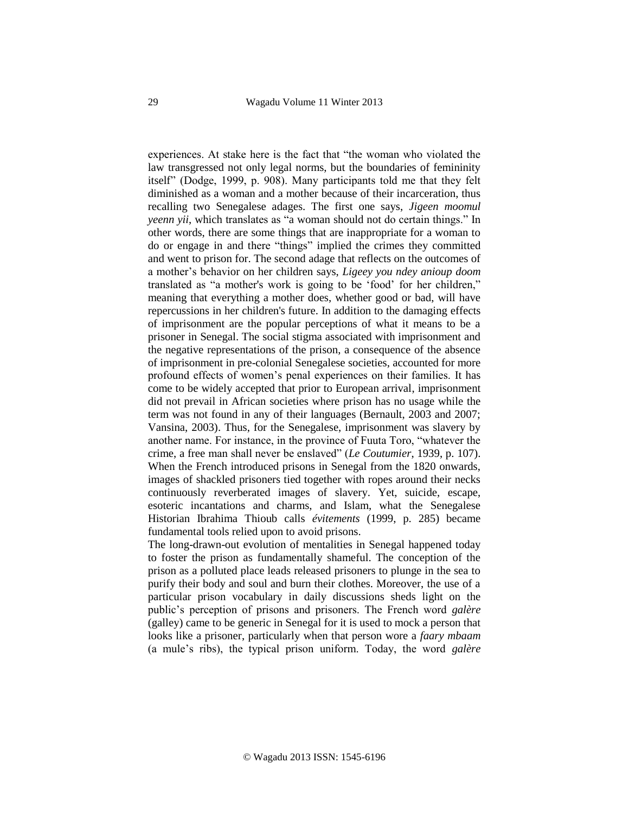experiences. At stake here is the fact that "the woman who violated the law transgressed not only legal norms, but the boundaries of femininity itself" (Dodge, 1999, p. 908). Many participants told me that they felt diminished as a woman and a mother because of their incarceration, thus recalling two Senegalese adages. The first one says, *Jigeen moomul yeenn yii*, which translates as "a woman should not do certain things." In other words, there are some things that are inappropriate for a woman to do or engage in and there "things" implied the crimes they committed and went to prison for. The second adage that reflects on the outcomes of a mother's behavior on her children says, *Ligeey you ndey anioup doom* translated as "a mother's work is going to be 'food' for her children," meaning that everything a mother does, whether good or bad, will have repercussions in her children's future. In addition to the damaging effects of imprisonment are the popular perceptions of what it means to be a prisoner in Senegal. The social stigma associated with imprisonment and the negative representations of the prison, a consequence of the absence of imprisonment in pre-colonial Senegalese societies, accounted for more profound effects of women's penal experiences on their families. It has come to be widely accepted that prior to European arrival, imprisonment did not prevail in African societies where prison has no usage while the term was not found in any of their languages (Bernault, 2003 and 2007; Vansina, 2003). Thus, for the Senegalese, imprisonment was slavery by another name. For instance, in the province of Fuuta Toro, "whatever the crime, a free man shall never be enslaved" (*Le Coutumier*, 1939, p. 107). When the French introduced prisons in Senegal from the 1820 onwards, images of shackled prisoners tied together with ropes around their necks continuously reverberated images of slavery. Yet, suicide, escape, esoteric incantations and charms, and Islam, what the Senegalese Historian Ibrahima Thioub calls *évitements* (1999, p. 285) became fundamental tools relied upon to avoid prisons.

The long-drawn-out evolution of mentalities in Senegal happened today to foster the prison as fundamentally shameful. The conception of the prison as a polluted place leads released prisoners to plunge in the sea to purify their body and soul and burn their clothes. Moreover, the use of a particular prison vocabulary in daily discussions sheds light on the public's perception of prisons and prisoners. The French word *galère* (galley) came to be generic in Senegal for it is used to mock a person that looks like a prisoner, particularly when that person wore a *faary mbaam*  (a mule's ribs), the typical prison uniform. Today, the word *galère*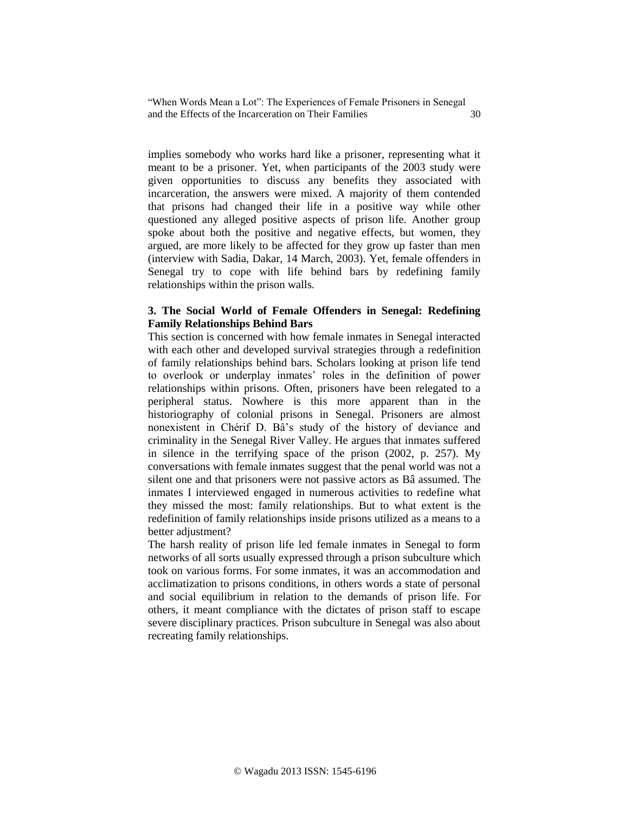implies somebody who works hard like a prisoner, representing what it meant to be a prisoner. Yet, when participants of the 2003 study were given opportunities to discuss any benefits they associated with incarceration, the answers were mixed. A majority of them contended that prisons had changed their life in a positive way while other questioned any alleged positive aspects of prison life. Another group spoke about both the positive and negative effects, but women, they argued, are more likely to be affected for they grow up faster than men (interview with Sadia, Dakar, 14 March, 2003). Yet, female offenders in Senegal try to cope with life behind bars by redefining family relationships within the prison walls.

## **3. The Social World of Female Offenders in Senegal: Redefining Family Relationships Behind Bars**

This section is concerned with how female inmates in Senegal interacted with each other and developed survival strategies through a redefinition of family relationships behind bars. Scholars looking at prison life tend to overlook or underplay inmates' roles in the definition of power relationships within prisons. Often, prisoners have been relegated to a peripheral status. Nowhere is this more apparent than in the historiography of colonial prisons in Senegal. Prisoners are almost nonexistent in Chérif D. Bâ's study of the history of deviance and criminality in the Senegal River Valley. He argues that inmates suffered in silence in the terrifying space of the prison (2002, p. 257). My conversations with female inmates suggest that the penal world was not a silent one and that prisoners were not passive actors as Bâ assumed. The inmates I interviewed engaged in numerous activities to redefine what they missed the most: family relationships. But to what extent is the redefinition of family relationships inside prisons utilized as a means to a better adjustment?

The harsh reality of prison life led female inmates in Senegal to form networks of all sorts usually expressed through a prison subculture which took on various forms. For some inmates, it was an accommodation and acclimatization to prisons conditions, in others words a state of personal and social equilibrium in relation to the demands of prison life. For others, it meant compliance with the dictates of prison staff to escape severe disciplinary practices. Prison subculture in Senegal was also about recreating family relationships.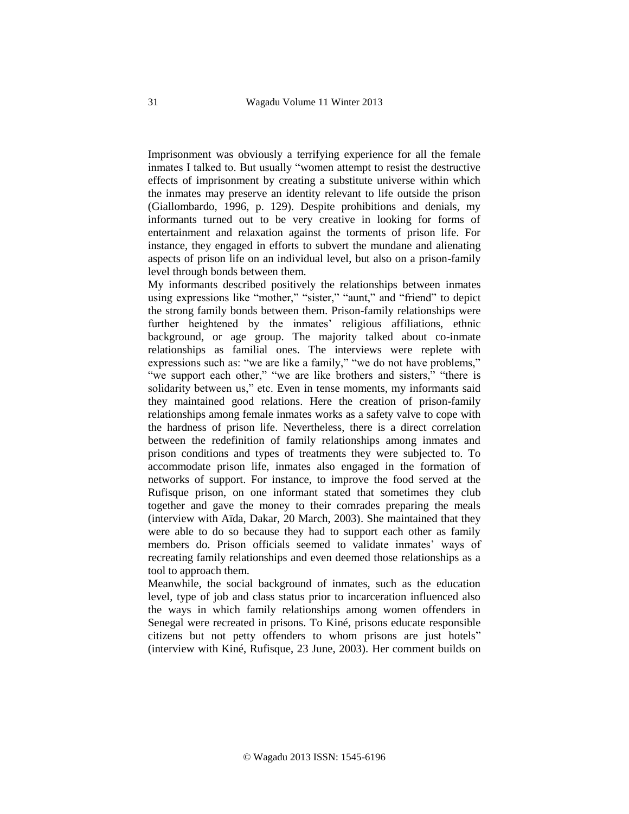Imprisonment was obviously a terrifying experience for all the female inmates I talked to. But usually "women attempt to resist the destructive effects of imprisonment by creating a substitute universe within which the inmates may preserve an identity relevant to life outside the prison (Giallombardo, 1996, p. 129). Despite prohibitions and denials, my informants turned out to be very creative in looking for forms of entertainment and relaxation against the torments of prison life. For instance, they engaged in efforts to subvert the mundane and alienating aspects of prison life on an individual level, but also on a prison-family level through bonds between them.

My informants described positively the relationships between inmates using expressions like "mother," "sister," "aunt," and "friend" to depict the strong family bonds between them. Prison-family relationships were further heightened by the inmates' religious affiliations, ethnic background, or age group. The majority talked about co-inmate relationships as familial ones. The interviews were replete with expressions such as: "we are like a family," "we do not have problems," "we support each other," "we are like brothers and sisters," "there is solidarity between us," etc. Even in tense moments, my informants said they maintained good relations. Here the creation of prison-family relationships among female inmates works as a safety valve to cope with the hardness of prison life. Nevertheless, there is a direct correlation between the redefinition of family relationships among inmates and prison conditions and types of treatments they were subjected to. To accommodate prison life, inmates also engaged in the formation of networks of support. For instance, to improve the food served at the Rufisque prison, on one informant stated that sometimes they club together and gave the money to their comrades preparing the meals (interview with Aïda, Dakar, 20 March, 2003). She maintained that they were able to do so because they had to support each other as family members do. Prison officials seemed to validate inmates' ways of recreating family relationships and even deemed those relationships as a tool to approach them.

Meanwhile, the social background of inmates, such as the education level, type of job and class status prior to incarceration influenced also the ways in which family relationships among women offenders in Senegal were recreated in prisons. To Kiné, prisons educate responsible citizens but not petty offenders to whom prisons are just hotels" (interview with Kiné, Rufisque, 23 June, 2003). Her comment builds on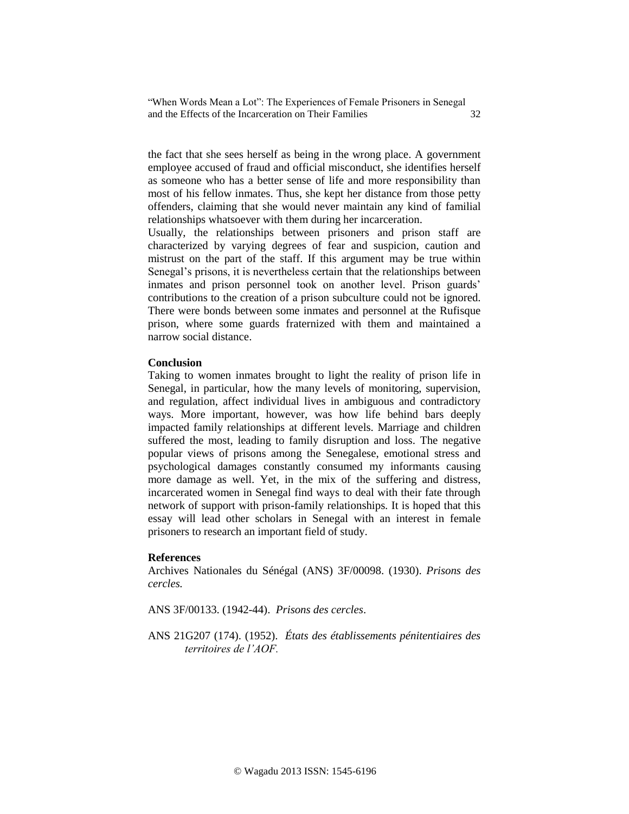the fact that she sees herself as being in the wrong place. A government employee accused of fraud and official misconduct, she identifies herself as someone who has a better sense of life and more responsibility than most of his fellow inmates. Thus, she kept her distance from those petty offenders, claiming that she would never maintain any kind of familial relationships whatsoever with them during her incarceration.

Usually, the relationships between prisoners and prison staff are characterized by varying degrees of fear and suspicion, caution and mistrust on the part of the staff. If this argument may be true within Senegal's prisons, it is nevertheless certain that the relationships between inmates and prison personnel took on another level. Prison guards' contributions to the creation of a prison subculture could not be ignored. There were bonds between some inmates and personnel at the Rufisque prison, where some guards fraternized with them and maintained a narrow social distance.

## **Conclusion**

Taking to women inmates brought to light the reality of prison life in Senegal, in particular, how the many levels of monitoring, supervision, and regulation, affect individual lives in ambiguous and contradictory ways. More important, however, was how life behind bars deeply impacted family relationships at different levels. Marriage and children suffered the most, leading to family disruption and loss. The negative popular views of prisons among the Senegalese, emotional stress and psychological damages constantly consumed my informants causing more damage as well. Yet, in the mix of the suffering and distress, incarcerated women in Senegal find ways to deal with their fate through network of support with prison-family relationships. It is hoped that this essay will lead other scholars in Senegal with an interest in female prisoners to research an important field of study.

### **References**

Archives Nationales du Sénégal (ANS) 3F/00098. (1930). *Prisons des cercles.*

ANS 3F/00133. (1942-44). *Prisons des cercles*.

ANS 21G207 (174). (1952). *États des établissements pénitentiaires des territoires de l'AOF.*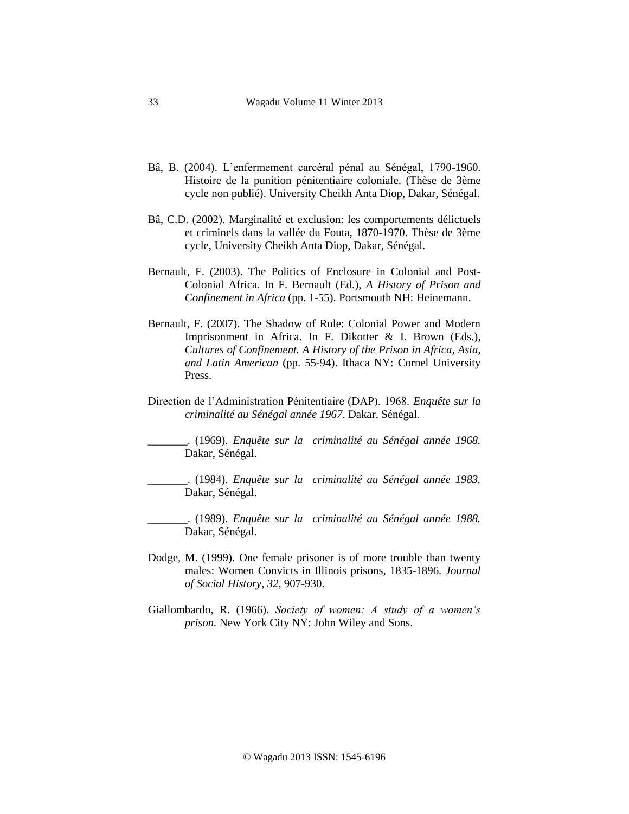- Bâ, B. (2004). L'enfermement carcéral pénal au Sénégal, 1790-1960. Histoire de la punition pénitentiaire coloniale. (Thèse de 3ème cycle non publié). University Cheikh Anta Diop, Dakar, Sénégal.
- Bâ, C.D. (2002). Marginalité et exclusion: les comportements délictuels et criminels dans la vallée du Fouta, 1870-1970. Thèse de 3ème cycle, University Cheikh Anta Diop, Dakar, Sénégal.
- Bernault, F. (2003). The Politics of Enclosure in Colonial and Post-Colonial Africa. In F. Bernault (Ed.), *A History of Prison and Confinement in Africa* (pp. 1-55). Portsmouth NH: Heinemann.
- Bernault, F. (2007). The Shadow of Rule: Colonial Power and Modern Imprisonment in Africa. In F. Dikotter & I. Brown (Eds.), *Cultures of Confinement. A History of the Prison in Africa, Asia, and Latin American* (pp. 55-94). Ithaca NY: Cornel University Press.
- Direction de l'Administration Pénitentiaire (DAP). 1968. *Enquête sur la criminalité au Sénégal année 1967*. Dakar, Sénégal.

\_\_\_\_\_\_\_. (1969). *Enquête sur la criminalité au Sénégal année 1968.*  Dakar, Sénégal.

\_\_\_\_\_\_\_. (1984). *Enquête sur la criminalité au Sénégal année 1983.*  Dakar, Sénégal.

\_\_\_\_\_\_\_. (1989). *Enquête sur la criminalité au Sénégal année 1988.*  Dakar, Sénégal.

- Dodge, M. (1999). One female prisoner is of more trouble than twenty males: Women Convicts in Illinois prisons, 1835-1896. *Journal of Social History*, *32,* 907-930.
- Giallombardo, R. (1966). *Society of women: A study of a women's prison.* New York City NY: John Wiley and Sons.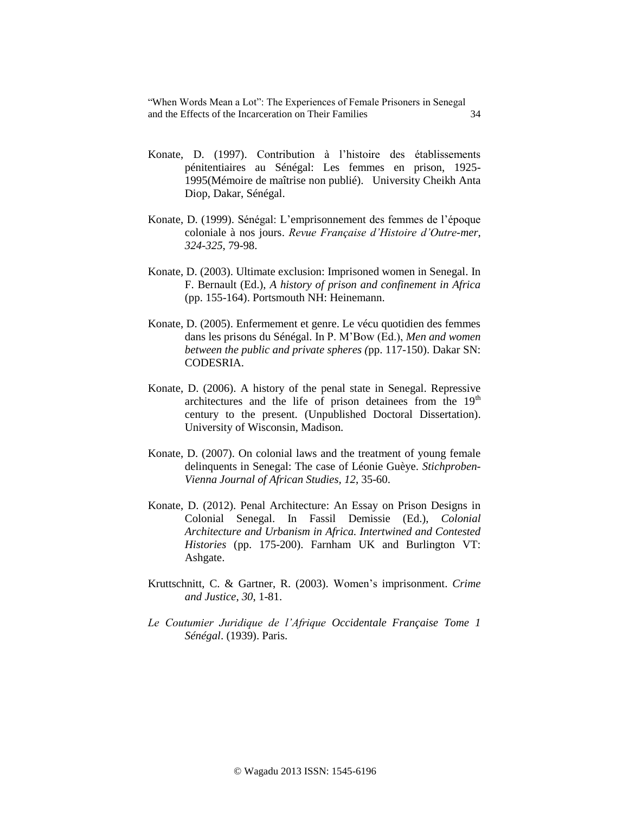- Konate, D. (1997). Contribution à l'histoire des établissements pénitentiaires au Sénégal: Les femmes en prison, 1925- 1995(Mémoire de maîtrise non publié). University Cheikh Anta Diop, Dakar, Sénégal.
- Konate, D. (1999). Sénégal: L'emprisonnement des femmes de l'époque coloniale à nos jours. *Revue Française d'Histoire d'Outre-mer*, *324-325*, 79-98.
- Konate, D. (2003). Ultimate exclusion: Imprisoned women in Senegal. In F. Bernault (Ed.), *A history of prison and confinement in Africa*  (pp. 155-164). Portsmouth NH: Heinemann.
- Konate, D. (2005). Enfermement et genre. Le vécu quotidien des femmes dans les prisons du Sénégal. In P. M'Bow (Ed.), *Men and women between the public and private spheres (*pp. 117-150). Dakar SN: CODESRIA.
- Konate, D. (2006). A history of the penal state in Senegal. Repressive architectures and the life of prison detainees from the  $19<sup>th</sup>$ century to the present. (Unpublished Doctoral Dissertation). University of Wisconsin, Madison.
- Konate, D. (2007). On colonial laws and the treatment of young female delinquents in Senegal: The case of Léonie Guèye. *Stichproben-Vienna Journal of African Studies, 12*, 35-60.
- Konate, D. (2012). Penal Architecture: An Essay on Prison Designs in Colonial Senegal. In Fassil Demissie (Ed.), *Colonial Architecture and Urbanism in Africa. Intertwined and Contested Histories* (pp. 175-200). Farnham UK and Burlington VT: Ashgate.
- Kruttschnitt, C. & Gartner, R. (2003). Women's imprisonment. *Crime and Justice*, *30*, 1-81.
- *Le Coutumier Juridique de l'Afrique Occidentale Française Tome 1 Sénégal*. (1939). Paris.